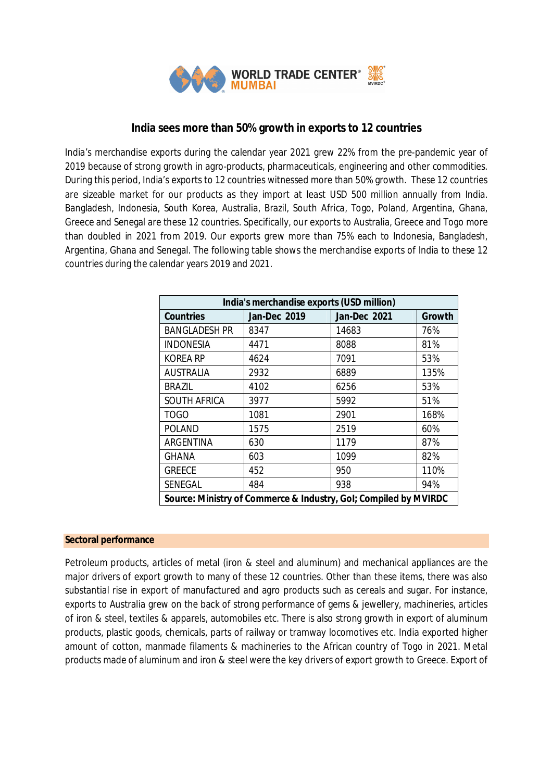

# **India sees more than 50% growth in exports to 12 countries**

India's merchandise exports during the calendar year 2021 grew 22% from the pre-pandemic year of 2019 because of strong growth in agro-products, pharmaceuticals, engineering and other commodities. During this period, India's exports to 12 countries witnessed more than 50% growth. These 12 countries are sizeable market for our products as they import at least USD 500 million annually from India. Bangladesh, Indonesia, South Korea, Australia, Brazil, South Africa, Togo, Poland, Argentina, Ghana, Greece and Senegal are these 12 countries. Specifically, our exports to Australia, Greece and Togo more than doubled in 2021 from 2019. Our exports grew more than 75% each to Indonesia, Bangladesh, Argentina, Ghana and Senegal. The following table shows the merchandise exports of India to these 12 countries during the calendar years 2019 and 2021.

| India's merchandise exports (USD million)                        |                     |                     |        |
|------------------------------------------------------------------|---------------------|---------------------|--------|
| <b>Countries</b>                                                 | <b>Jan-Dec 2019</b> | <b>Jan-Dec 2021</b> | Growth |
| <b>BANGLADESH PR</b>                                             | 8347                | 14683               | 76%    |
| <b>INDONESIA</b>                                                 | 4471                | 8088                | 81%    |
| <b>KOREA RP</b>                                                  | 4624                | 7091                | 53%    |
| <b>AUSTRALIA</b>                                                 | 2932                | 6889                | 135%   |
| <b>BRAZIL</b>                                                    | 4102                | 6256                | 53%    |
| <b>SOUTH AFRICA</b>                                              | 3977                | 5992                | 51%    |
| <b>TOGO</b>                                                      | 1081                | 2901                | 168%   |
| <b>POLAND</b>                                                    | 1575                | 2519                | 60%    |
| ARGENTINA                                                        | 630                 | 1179                | 87%    |
| <b>GHANA</b>                                                     | 603                 | 1099                | 82%    |
| <b>GREECE</b>                                                    | 452                 | 950                 | 110%   |
| SENEGAL                                                          | 484                 | 938                 | 94%    |
| Source: Ministry of Commerce & Industry, GoI; Compiled by MVIRDC |                     |                     |        |

### **Sectoral performance**

Petroleum products, articles of metal (iron & steel and aluminum) and mechanical appliances are the major drivers of export growth to many of these 12 countries. Other than these items, there was also substantial rise in export of manufactured and agro products such as cereals and sugar. For instance, exports to Australia grew on the back of strong performance of gems & jewellery, machineries, articles of iron & steel, textiles & apparels, automobiles etc. There is also strong growth in export of aluminum products, plastic goods, chemicals, parts of railway or tramway locomotives etc. India exported higher amount of cotton, manmade filaments & machineries to the African country of Togo in 2021. Metal products made of aluminum and iron & steel were the key drivers of export growth to Greece. Export of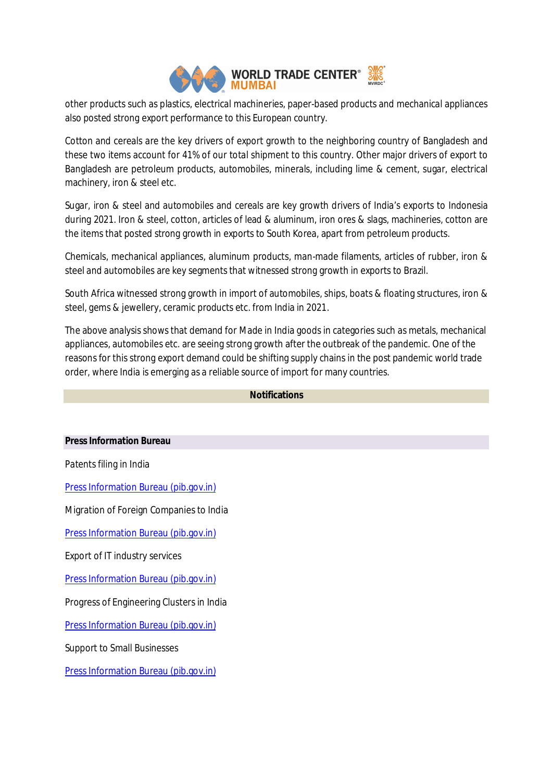

other products such as plastics, electrical machineries, paper-based products and mechanical appliances also posted strong export performance to this European country.

Cotton and cereals are the key drivers of export growth to the neighboring country of Bangladesh and these two items account for 41% of our total shipment to this country. Other major drivers of export to Bangladesh are petroleum products, automobiles, minerals, including lime & cement, sugar, electrical machinery, iron & steel etc.

Sugar, iron & steel and automobiles and cereals are key growth drivers of India's exports to Indonesia during 2021. Iron & steel, cotton, articles of lead & aluminum, iron ores & slags, machineries, cotton are the items that posted strong growth in exports to South Korea, apart from petroleum products.

Chemicals, mechanical appliances, aluminum products, man-made filaments, articles of rubber, iron & steel and automobiles are key segments that witnessed strong growth in exports to Brazil.

South Africa witnessed strong growth in import of automobiles, ships, boats & floating structures, iron & steel, gems & jewellery, ceramic products etc. from India in 2021.

The above analysis shows that demand for Made in India goods in categories such as metals, mechanical appliances, automobiles etc. are seeing strong growth after the outbreak of the pandemic. One of the reasons for this strong export demand could be shifting supply chains in the post pandemic world trade order, where India is emerging as a reliable source of import for many countries.

## **Notifications**

### **Press Information Bureau**

Patents filing in India

Press Information Bureau (pib.gov.in)

Migration of Foreign Companies to India

Press Information Bureau (pib.gov.in)

Export of IT industry services

Press Information Bureau (pib.gov.in)

Progress of Engineering Clusters in India

Press Information Bureau (pib.gov.in)

Support to Small Businesses

Press Information Bureau (pib.gov.in)